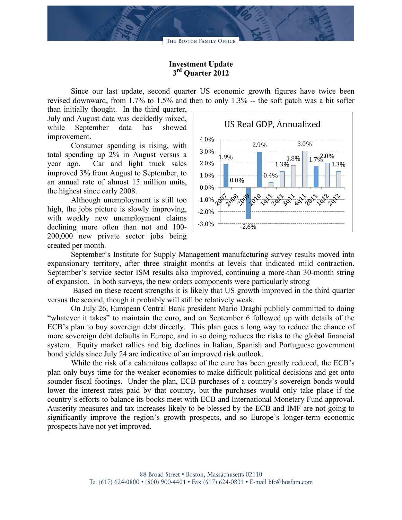

## **Investment Update 3rd Quarter 2012**

Since our last update, second quarter US economic growth figures have twice been revised downward, from 1.7% to 1.5% and then to only 1.3% -- the soft patch was a bit softer

than initially thought. In the third quarter, July and August data was decidedly mixed, while September data has showed improvement.

Consumer spending is rising, with total spending up 2% in August versus a year ago. Car and light truck sales improved 3% from August to September, to an annual rate of almost 15 million units, the highest since early 2008.

Although unemployment is still too high, the jobs picture is slowly improving, with weekly new unemployment claims declining more often than not and 100- 200,000 new private sector jobs being created per month.



September's Institute for Supply Management manufacturing survey results moved into expansionary territory, after three straight months at levels that indicated mild contraction. September's service sector ISM results also improved, continuing a more-than 30-month string of expansion. In both surveys, the new orders components were particularly strong

Based on these recent strengths it is likely that US growth improved in the third quarter versus the second, though it probably will still be relatively weak.

On July 26, European Central Bank president Mario Draghi publicly committed to doing "whatever it takes" to maintain the euro, and on September 6 followed up with details of the ECB's plan to buy sovereign debt directly. This plan goes a long way to reduce the chance of more sovereign debt defaults in Europe, and in so doing reduces the risks to the global financial system. Equity market rallies and big declines in Italian, Spanish and Portuguese government bond yields since July 24 are indicative of an improved risk outlook.

While the risk of a calamitous collapse of the euro has been greatly reduced, the ECB's plan only buys time for the weaker economies to make difficult political decisions and get onto sounder fiscal footings. Under the plan, ECB purchases of a country's sovereign bonds would lower the interest rates paid by that country, but the purchases would only take place if the country's efforts to balance its books meet with ECB and International Monetary Fund approval. Austerity measures and tax increases likely to be blessed by the ECB and IMF are not going to significantly improve the region's growth prospects, and so Europe's longer-term economic prospects have not yet improved.